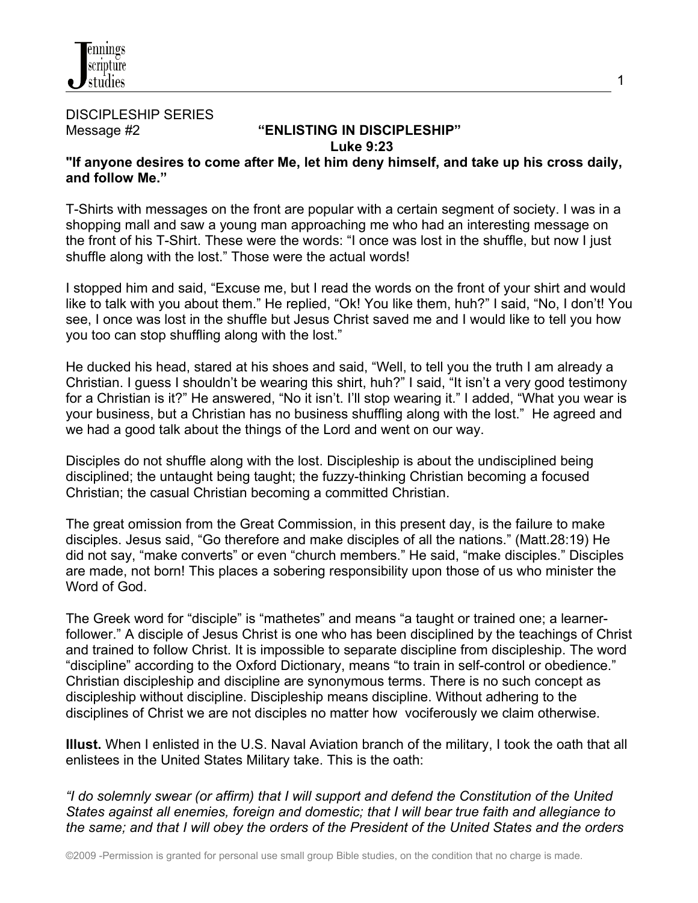

DISCIPLESHIP SERIES

# Message #2 **"ENLISTING IN DISCIPLESHIP" Luke 9:23**

## **"If anyone desires to come after Me, let him deny himself, and take up his cross daily, and follow Me."**

T-Shirts with messages on the front are popular with a certain segment of society. I was in a shopping mall and saw a young man approaching me who had an interesting message on the front of his T-Shirt. These were the words: "I once was lost in the shuffle, but now I just shuffle along with the lost." Those were the actual words!

I stopped him and said, "Excuse me, but I read the words on the front of your shirt and would like to talk with you about them." He replied, "Ok! You like them, huh?" I said, "No, I don't! You see, I once was lost in the shuffle but Jesus Christ saved me and I would like to tell you how you too can stop shuffling along with the lost."

He ducked his head, stared at his shoes and said, "Well, to tell you the truth I am already a Christian. I guess I shouldn't be wearing this shirt, huh?" I said, "It isn't a very good testimony for a Christian is it?" He answered, "No it isn't. I'll stop wearing it." I added, "What you wear is your business, but a Christian has no business shuffling along with the lost." He agreed and we had a good talk about the things of the Lord and went on our way.

Disciples do not shuffle along with the lost. Discipleship is about the undisciplined being disciplined; the untaught being taught; the fuzzy-thinking Christian becoming a focused Christian; the casual Christian becoming a committed Christian.

The great omission from the Great Commission, in this present day, is the failure to make disciples. Jesus said, "Go therefore and make disciples of all the nations." (Matt.28:19) He did not say, "make converts" or even "church members." He said, "make disciples." Disciples are made, not born! This places a sobering responsibility upon those of us who minister the Word of God.

The Greek word for "disciple" is "mathetes" and means "a taught or trained one; a learnerfollower." A disciple of Jesus Christ is one who has been disciplined by the teachings of Christ and trained to follow Christ. It is impossible to separate discipline from discipleship. The word "discipline" according to the Oxford Dictionary, means "to train in self-control or obedience." Christian discipleship and discipline are synonymous terms. There is no such concept as discipleship without discipline. Discipleship means discipline. Without adhering to the disciplines of Christ we are not disciples no matter how vociferously we claim otherwise.

**Illust.** When I enlisted in the U.S. Naval Aviation branch of the military, I took the oath that all enlistees in the United States Military take. This is the oath:

*"I do solemnly swear (or affirm) that I will support and defend the Constitution of the United States against all enemies, foreign and domestic; that I will bear true faith and allegiance to the same; and that I will obey the orders of the President of the United States and the orders*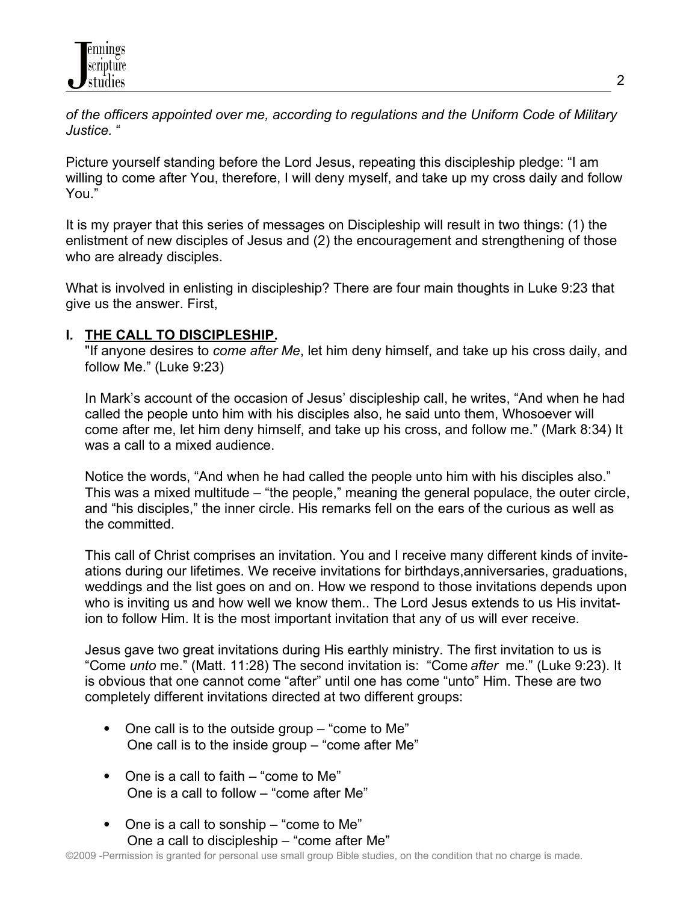*of the officers appointed over me, according to regulations and the Uniform Code of Military Justice.* "

Picture yourself standing before the Lord Jesus, repeating this discipleship pledge: "I am willing to come after You, therefore, I will deny myself, and take up my cross daily and follow You."

It is my prayer that this series of messages on Discipleship will result in two things: (1) the enlistment of new disciples of Jesus and (2) the encouragement and strengthening of those who are already disciples.

What is involved in enlisting in discipleship? There are four main thoughts in Luke 9:23 that give us the answer. First,

## **I. THE CALL TO DISCIPLESHIP.**

 "If anyone desires to *come after Me*, let him deny himself, and take up his cross daily, and follow Me." (Luke 9:23)

 In Mark's account of the occasion of Jesus' discipleship call, he writes, "And when he had called the people unto him with his disciples also, he said unto them, Whosoever will come after me, let him deny himself, and take up his cross, and follow me." (Mark 8:34) It was a call to a mixed audience.

 Notice the words, "And when he had called the people unto him with his disciples also." This was a mixed multitude – "the people," meaning the general populace, the outer circle, and "his disciples," the inner circle. His remarks fell on the ears of the curious as well as the committed.

 This call of Christ comprises an invitation. You and I receive many different kinds of invite ations during our lifetimes. We receive invitations for birthdays,anniversaries, graduations, weddings and the list goes on and on. How we respond to those invitations depends upon who is inviting us and how well we know them.. The Lord Jesus extends to us His invitation to follow Him. It is the most important invitation that any of us will ever receive.

 Jesus gave two great invitations during His earthly ministry. The first invitation to us is "Come *unto* me." (Matt. 11:28) The second invitation is: "Come *after* me." (Luke 9:23). It is obvious that one cannot come "after" until one has come "unto" Him. These are two completely different invitations directed at two different groups:

- One call is to the outside group  $-$  "come to Me" One call is to the inside group – "come after Me"
- One is a call to faith "come to Me" One is a call to follow – "come after Me"
- One is a call to sonship "come to Me" One a call to discipleship – "come after Me"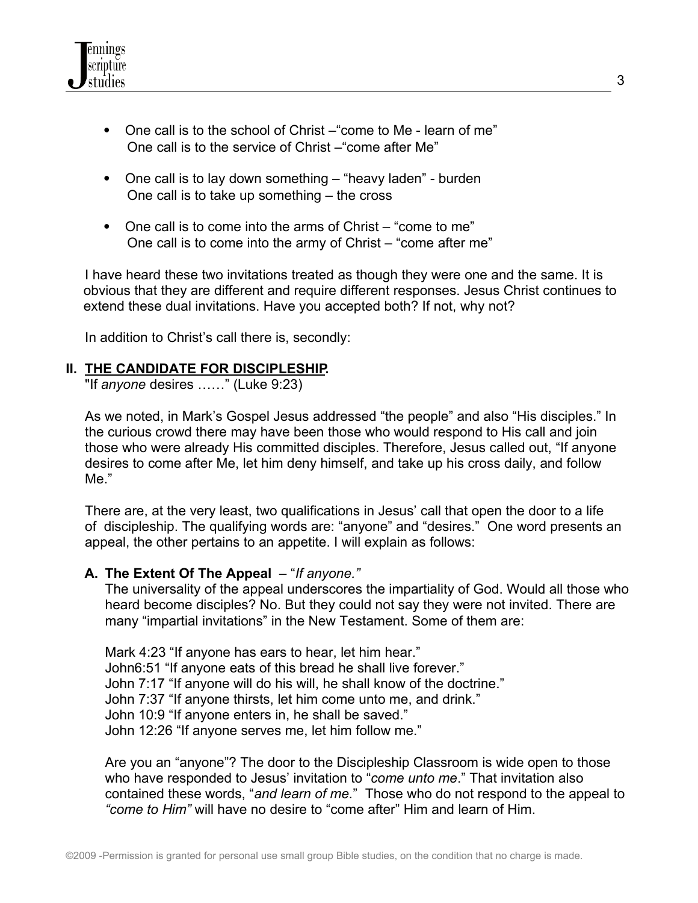

- One call is to the school of Christ –"come to Me learn of me" One call is to the service of Christ –"come after Me"
- One call is to lay down something "heavy laden" burden One call is to take up something – the cross
- One call is to come into the arms of Christ "come to me" One call is to come into the army of Christ – "come after me"

 I have heard these two invitations treated as though they were one and the same. It is obvious that they are different and require different responses. Jesus Christ continues to extend these dual invitations. Have you accepted both? If not, why not?

In addition to Christ's call there is, secondly:

#### **II. THE CANDIDATE FOR DISCIPLESHIP.**

"If *anyone* desires ……" (Luke 9:23)

 As we noted, in Mark's Gospel Jesus addressed "the people" and also "His disciples." In the curious crowd there may have been those who would respond to His call and join those who were already His committed disciples. Therefore, Jesus called out, "If anyone desires to come after Me, let him deny himself, and take up his cross daily, and follow Me."

 There are, at the very least, two qualifications in Jesus' call that open the door to a life of discipleship. The qualifying words are: "anyone" and "desires." One word presents an appeal, the other pertains to an appetite. I will explain as follows:

#### **A. The Extent Of The Appeal** – "*If anyone."*

The universality of the appeal underscores the impartiality of God. Would all those who heard become disciples? No. But they could not say they were not invited. There are many "impartial invitations" in the New Testament. Some of them are:

Mark 4:23 "If anyone has ears to hear, let him hear." John6:51 "If anyone eats of this bread he shall live forever." John 7:17 "If anyone will do his will, he shall know of the doctrine." John 7:37 "If anyone thirsts, let him come unto me, and drink." John 10:9 "If anyone enters in, he shall be saved." John 12:26 "If anyone serves me, let him follow me."

Are you an "anyone"? The door to the Discipleship Classroom is wide open to those who have responded to Jesus' invitation to "*come unto me*." That invitation also contained these words, "*and learn of me.*" Those who do not respond to the appeal to *"come to Him"* will have no desire to "come after" Him and learn of Him.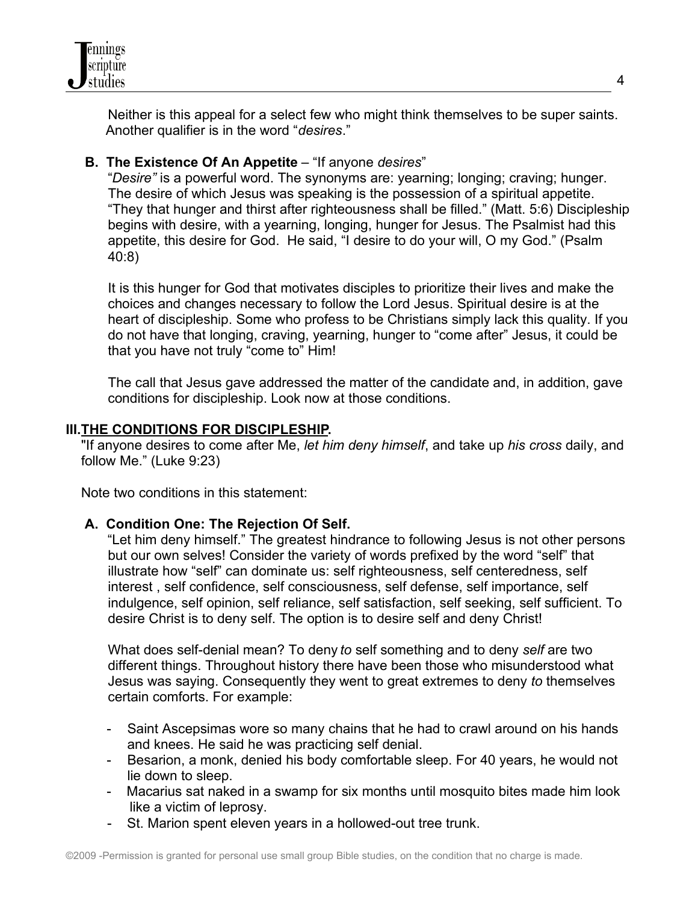

 Neither is this appeal for a select few who might think themselves to be super saints. Another qualifier is in the word "*desires*."

## **B. The Existence Of An Appetite** – "If anyone *desires*"

 "*Desire"* is a powerful word. The synonyms are: yearning; longing; craving; hunger. The desire of which Jesus was speaking is the possession of a spiritual appetite. "They that hunger and thirst after righteousness shall be filled." (Matt. 5:6) Discipleship begins with desire, with a yearning, longing, hunger for Jesus. The Psalmist had this appetite, this desire for God. He said, "I desire to do your will, O my God." (Psalm 40:8)

 It is this hunger for God that motivates disciples to prioritize their lives and make the choices and changes necessary to follow the Lord Jesus. Spiritual desire is at the heart of discipleship. Some who profess to be Christians simply lack this quality. If you do not have that longing, craving, yearning, hunger to "come after" Jesus, it could be that you have not truly "come to" Him!

 The call that Jesus gave addressed the matter of the candidate and, in addition, gave conditions for discipleship. Look now at those conditions.

#### **III.THE CONDITIONS FOR DISCIPLESHIP.**

 "If anyone desires to come after Me, *let him deny himself*, and take up *his cross* daily, and follow Me." (Luke 9:23)

Note two conditions in this statement:

## **A. Condition One: The Rejection Of Self.**

"Let him deny himself." The greatest hindrance to following Jesus is not other persons but our own selves! Consider the variety of words prefixed by the word "self" that illustrate how "self" can dominate us: self righteousness, self centeredness, self interest , self confidence, self consciousness, self defense, self importance, self indulgence, self opinion, self reliance, self satisfaction, self seeking, self sufficient. To desire Christ is to deny self. The option is to desire self and deny Christ!

 What does self-denial mean? To deny *to* self something and to deny *self* are two different things. Throughout history there have been those who misunderstood what Jesus was saying. Consequently they went to great extremes to deny *to* themselves certain comforts. For example:

- Saint Ascepsimas wore so many chains that he had to crawl around on his hands and knees. He said he was practicing self denial.
- Besarion, a monk, denied his body comfortable sleep. For 40 years, he would not lie down to sleep.
- Macarius sat naked in a swamp for six months until mosquito bites made him look like a victim of leprosy.
- St. Marion spent eleven years in a hollowed-out tree trunk.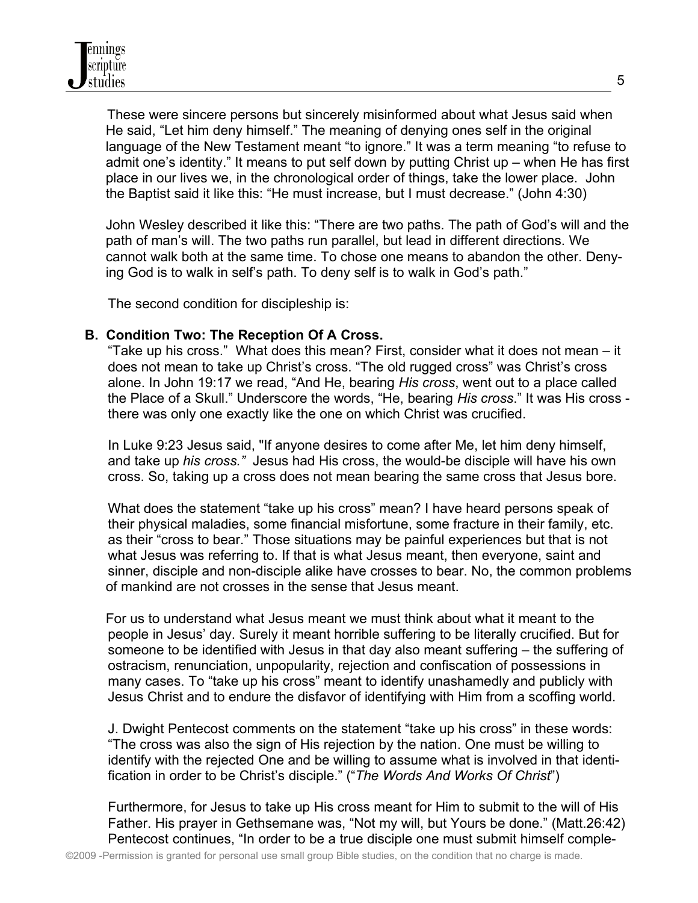These were sincere persons but sincerely misinformed about what Jesus said when He said, "Let him deny himself." The meaning of denying ones self in the original language of the New Testament meant "to ignore." It was a term meaning "to refuse to admit one's identity." It means to put self down by putting Christ up – when He has first place in our lives we, in the chronological order of things, take the lower place. John the Baptist said it like this: "He must increase, but I must decrease." (John 4:30)

John Wesley described it like this: "There are two paths. The path of God's will and the path of man's will. The two paths run parallel, but lead in different directions. We cannot walk both at the same time. To chose one means to abandon the other. Denying God is to walk in self's path. To deny self is to walk in God's path."

The second condition for discipleship is:

## **B. Condition Two: The Reception Of A Cross.**

 "Take up his cross." What does this mean? First, consider what it does not mean – it does not mean to take up Christ's cross. "The old rugged cross" was Christ's cross alone. In John 19:17 we read, "And He, bearing *His cross*, went out to a place called the Place of a Skull." Underscore the words, "He, bearing *His cross*." It was His cross there was only one exactly like the one on which Christ was crucified.

 In Luke 9:23 Jesus said, "If anyone desires to come after Me, let him deny himself, and take up *his cross."* Jesus had His cross, the would-be disciple will have his own cross. So, taking up a cross does not mean bearing the same cross that Jesus bore.

 What does the statement "take up his cross" mean? I have heard persons speak of their physical maladies, some financial misfortune, some fracture in their family, etc. as their "cross to bear." Those situations may be painful experiences but that is not what Jesus was referring to. If that is what Jesus meant, then everyone, saint and sinner, disciple and non-disciple alike have crosses to bear. No, the common problems of mankind are not crosses in the sense that Jesus meant.

For us to understand what Jesus meant we must think about what it meant to the people in Jesus' day. Surely it meant horrible suffering to be literally crucified. But for someone to be identified with Jesus in that day also meant suffering – the suffering of ostracism, renunciation, unpopularity, rejection and confiscation of possessions in many cases. To "take up his cross" meant to identify unashamedly and publicly with Jesus Christ and to endure the disfavor of identifying with Him from a scoffing world.

 J. Dwight Pentecost comments on the statement "take up his cross" in these words: "The cross was also the sign of His rejection by the nation. One must be willing to identify with the rejected One and be willing to assume what is involved in that identi fication in order to be Christ's disciple." ("*The Words And Works Of Christ*")

 Furthermore, for Jesus to take up His cross meant for Him to submit to the will of His Father. His prayer in Gethsemane was, "Not my will, but Yours be done." (Matt.26:42) Pentecost continues, "In order to be a true disciple one must submit himself comple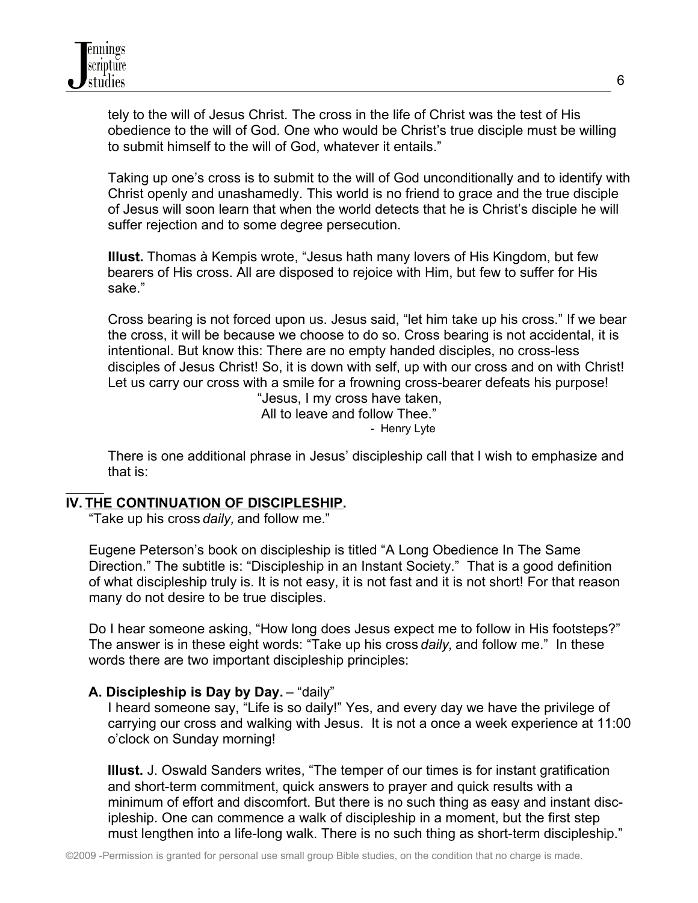tely to the will of Jesus Christ. The cross in the life of Christ was the test of His obedience to the will of God. One who would be Christ's true disciple must be willing to submit himself to the will of God, whatever it entails."

 Taking up one's cross is to submit to the will of God unconditionally and to identify with Christ openly and unashamedly. This world is no friend to grace and the true disciple of Jesus will soon learn that when the world detects that he is Christ's disciple he will suffer rejection and to some degree persecution.

 **Illust.** Thomas à Kempis wrote, "Jesus hath many lovers of His Kingdom, but few bearers of His cross. All are disposed to rejoice with Him, but few to suffer for His sake."

 Cross bearing is not forced upon us. Jesus said, "let him take up his cross." If we bear the cross, it will be because we choose to do so. Cross bearing is not accidental, it is intentional. But know this: There are no empty handed disciples, no cross-less disciples of Jesus Christ! So, it is down with self, up with our cross and on with Christ! Let us carry our cross with a smile for a frowning cross-bearer defeats his purpose!

 "Jesus, I my cross have taken, All to leave and follow Thee." - Henry Lyte

 There is one additional phrase in Jesus' discipleship call that I wish to emphasize and that is:

#### $\overline{a}$ **IV. THE CONTINUATION OF DISCIPLESHIP.**

"Take up his cross *daily,* and follow me."

 Eugene Peterson's book on discipleship is titled "A Long Obedience In The Same Direction." The subtitle is: "Discipleship in an Instant Society." That is a good definition of what discipleship truly is. It is not easy, it is not fast and it is not short! For that reason many do not desire to be true disciples.

 Do I hear someone asking, "How long does Jesus expect me to follow in His footsteps?" The answer is in these eight words: "Take up his cross *daily,* and follow me." In these words there are two important discipleship principles:

## **A. Discipleship is Day by Day.** – "daily"

 I heard someone say, "Life is so daily!" Yes, and every day we have the privilege of carrying our cross and walking with Jesus. It is not a once a week experience at 11:00 o'clock on Sunday morning!

 **Illust.** J. Oswald Sanders writes, "The temper of our times is for instant gratification and short-term commitment, quick answers to prayer and quick results with a minimum of effort and discomfort. But there is no such thing as easy and instant disc ipleship. One can commence a walk of discipleship in a moment, but the first step must lengthen into a life-long walk. There is no such thing as short-term discipleship."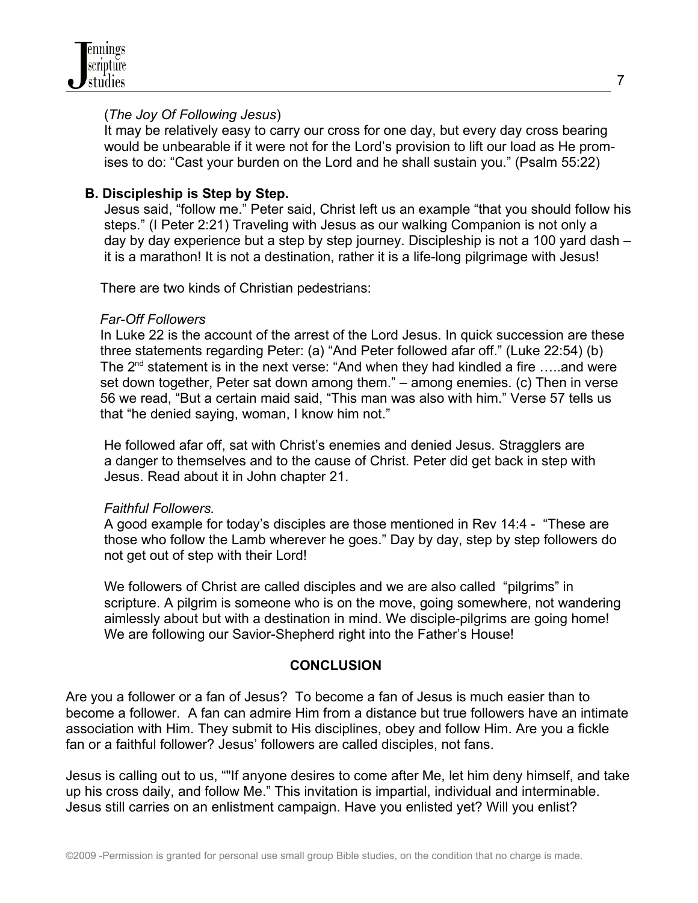

#### (*The Joy Of Following Jesus*)

 It may be relatively easy to carry our cross for one day, but every day cross bearing would be unbearable if it were not for the Lord's provision to lift our load as He prom ises to do: "Cast your burden on the Lord and he shall sustain you." (Psalm 55:22)

## **B. Discipleship is Step by Step.**

 Jesus said, "follow me." Peter said, Christ left us an example "that you should follow his steps." (I Peter 2:21) Traveling with Jesus as our walking Companion is not only a day by day experience but a step by step journey. Discipleship is not a 100 yard dash – it is a marathon! It is not a destination, rather it is a life-long pilgrimage with Jesus!

There are two kinds of Christian pedestrians:

## *Far-Off Followers*

 In Luke 22 is the account of the arrest of the Lord Jesus. In quick succession are these three statements regarding Peter: (a) "And Peter followed afar off." (Luke 22:54) (b) The  $2^{nd}$  statement is in the next verse: "And when they had kindled a fire  $\dots$  and were set down together, Peter sat down among them." – among enemies. (c) Then in verse 56 we read, "But a certain maid said, "This man was also with him." Verse 57 tells us that "he denied saying, woman, I know him not."

 He followed afar off, sat with Christ's enemies and denied Jesus. Stragglers are a danger to themselves and to the cause of Christ. Peter did get back in step with Jesus. Read about it in John chapter 21.

## *Faithful Followers.*

 A good example for today's disciples are those mentioned in Rev 14:4 - "These are those who follow the Lamb wherever he goes." Day by day, step by step followers do not get out of step with their Lord!

 We followers of Christ are called disciples and we are also called "pilgrims" in scripture. A pilgrim is someone who is on the move, going somewhere, not wandering aimlessly about but with a destination in mind. We disciple-pilgrims are going home! We are following our Savior-Shepherd right into the Father's House!

## **CONCLUSION**

Are you a follower or a fan of Jesus? To become a fan of Jesus is much easier than to become a follower. A fan can admire Him from a distance but true followers have an intimate association with Him. They submit to His disciplines, obey and follow Him. Are you a fickle fan or a faithful follower? Jesus' followers are called disciples, not fans.

Jesus is calling out to us, ""If anyone desires to come after Me, let him deny himself, and take up his cross daily, and follow Me." This invitation is impartial, individual and interminable. Jesus still carries on an enlistment campaign. Have you enlisted yet? Will you enlist?